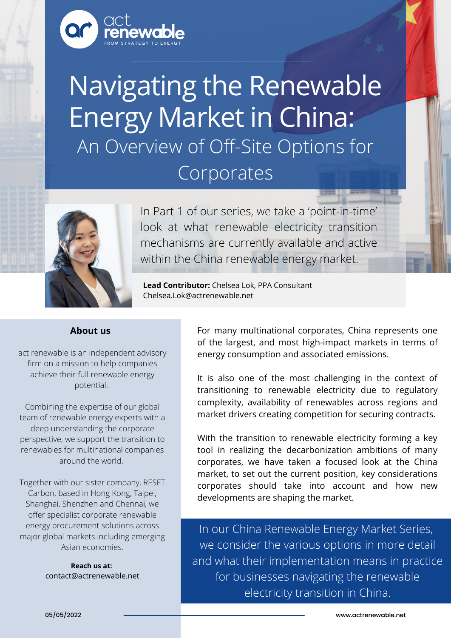

# Navigating the Renewable Energy Market in China: An Overview of Off-Site Options for Corporates



In Part 1 of our series, we take a 'point-in-time' look at what renewable electricity transition mechanisms are currently available and active within the China renewable energy market.

**Lead Contributor:** Chelsea Lok, PPA Consultant Chelsea.Lok@actrenewable.net

### **About us**

act renewable is an independent advisory firm on a mission to help companies achieve their full renewable energy potential.

Combining the expertise of our global team of renewable energy experts with a deep understanding the corporate perspective, we support the transition to renewables for multinational companies around the world.

Together with our sister company, RESET Carbon, based in Hong Kong, Taipei, Shanghai, Shenzhen and Chennai, we offer specialist corporate renewable energy procurement solutions across major global markets including emerging Asian economies.

> **Reach us at:** contact@actrenewable.net

For many multinational corporates, China represents one of the largest, and most high-impact markets in terms of energy consumption and associated emissions.

It is also one of the most challenging in the context of transitioning to renewable electricity due to regulatory complexity, availability of renewables across regions and market drivers creating competition for securing contracts.

With the transition to renewable electricity forming a key tool in realizing the decarbonization ambitions of many corporates, we have taken a focused look at the China market, to set out the current position, key considerations corporates should take into account and how new developments are shaping the market.

In our China Renewable Energy Market Series, we consider the various options in more detail and what their implementation means in practice for businesses navigating the renewable electricity transition in China.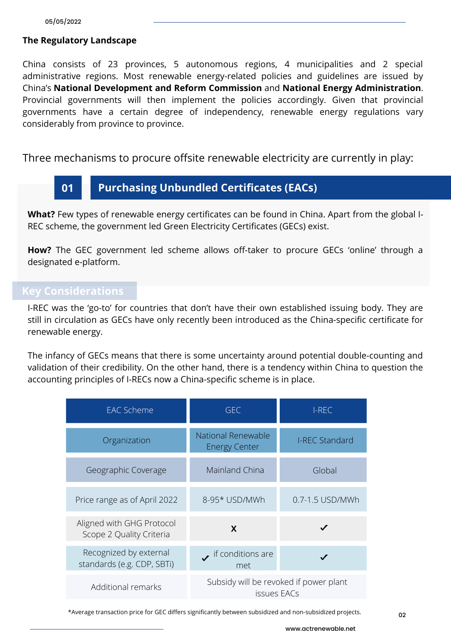## **The Regulatory Landscape**

China consists of 23 provinces, 5 autonomous regions, 4 municipalities and 2 special administrative regions. Most renewable energy-related policies and guidelines are issued by China's **National Development and Reform Commission** and **National Energy Administration**. Provincial governments will then implement the policies accordingly. Given that provincial governments have a certain degree of independency, renewable energy regulations vary considerably from province to province.

Three mechanisms to procure offsite renewable electricity are currently in play:



**What?** Few types of renewable energy certificates can be found in China. Apart from the global I-REC scheme, the government led Green Electricity Certificates (GECs) exist.

**How?** The GEC government led scheme allows off-taker to procure GECs 'online' through a designated e-platform.

# **Key Considerations**

I-REC was the 'go-to' for countries that don't have their own established issuing body. They are still in circulation as GECs have only recently been introduced as the China-specific certificate for renewable energy.

The infancy of GECs means that there is some uncertainty around potential double-counting and validation of their credibility. On the other hand, there is a tendency within China to question the accounting principles of I-RECs now a China-specific scheme is in place.

| <b>EAC Scheme</b>                                     | <b>GEC</b>                                            | I-REC                 |
|-------------------------------------------------------|-------------------------------------------------------|-----------------------|
| Organization                                          | National Renewable<br><b>Energy Center</b>            | <b>I-REC Standard</b> |
| Geographic Coverage                                   | <b>Mainland China</b>                                 | Global                |
| Price range as of April 2022                          | 8-95* USD/MWh                                         | 0.7-1.5 USD/MWh       |
| Aligned with GHG Protocol<br>Scope 2 Quality Criteria | X                                                     |                       |
| Recognized by external<br>standards (e.g. CDP, SBTi)  | $\bullet$ if conditions are<br>met                    |                       |
| Additional remarks                                    | Subsidy will be revoked if power plant<br>issues EACs |                       |

\*Average transaction price for GEC differs significantly between subsidized and non-subsidized projects.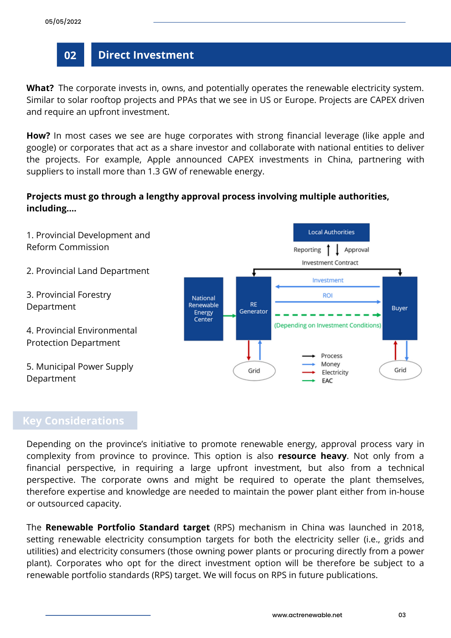# **02 Direct Investment**

**What?** The corporate invests in, owns, and potentially operates the renewable electricity system. Similar to solar rooftop projects and PPAs that we see in US or Europe. Projects are CAPEX driven and require an upfront investment.

**How?** In most cases we see are huge corporates with strong financial leverage (like apple and google) or corporates that act as a share investor and collaborate with national entities to deliver the projects. For example, Apple announced CAPEX investments in China, partnering with suppliers to install more than 1.3 GW of renewable energy.

# **Projects must go through a lengthy approval process involving multiple authorities, including….**



# **Key Considerations**

Depending on the province's initiative to promote renewable energy, approval process vary in complexity from province to province. This option is also **resource heavy**. Not only from a financial perspective, in requiring a large upfront investment, but also from a technical perspective. The corporate owns and might be required to operate the plant themselves, therefore expertise and knowledge are needed to maintain the power plant either from in-house or outsourced capacity.

The **Renewable Portfolio Standard target** (RPS) mechanism in China was launched in 2018, setting renewable electricity consumption targets for both the electricity seller (i.e., grids and utilities) and electricity consumers (those owning power plants or procuring directly from a power plant). Corporates who opt for the direct investment option will be therefore be subject to a renewable portfolio standards (RPS) target. We will focus on RPS in future publications.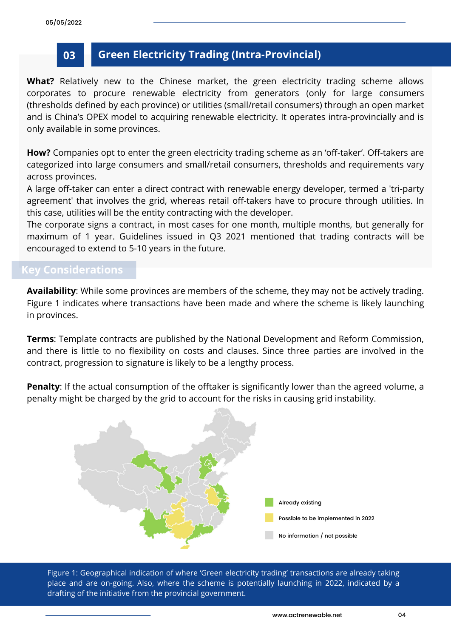# **03 Green Electricity Trading (Intra-Provincial)**

**What?** Relatively new to the Chinese market, the green electricity trading scheme allows corporates to procure renewable electricity from generators (only for large consumers (thresholds defined by each province) or utilities (small/retail consumers) through an open market and is China's OPEX model to acquiring renewable electricity. It operates intra-provincially and is only available in some provinces.

**How?** Companies opt to enter the green electricity trading scheme as an 'off-taker'. Off-takers are categorized into large consumers and small/retail consumers, thresholds and requirements vary across provinces.

A large off-taker can enter a direct contract with renewable energy developer, termed a 'tri-party agreement' that involves the grid, whereas retail off-takers have to procure through utilities. In this case, utilities will be the entity contracting with the developer.

The corporate signs a contract, in most cases for one month, multiple months, but generally for maximum of 1 year. Guidelines issued in Q3 2021 mentioned that trading contracts will be encouraged to extend to 5-10 years in the future.

# **Key Considerations**

**Availability**: While some provinces are members of the scheme, they may not be actively trading. Figure 1 indicates where transactions have been made and where the scheme is likely launching in provinces.

**Terms**: Template contracts are published by the National Development and Reform Commission, and there is little to no flexibility on costs and clauses. Since three parties are involved in the contract, progression to signature is likely to be a lengthy process.

**Penalty:** If the actual consumption of the offtaker is significantly lower than the agreed volume, a penalty might be charged by the grid to account for the risks in causing grid instability.



Figure 1: Geographical indication of where 'Green electricity trading' transactions are already taking place and are on-going. Also, where the scheme is potentially launching in 2022, indicated by a drafting of the initiative from the provincial government.